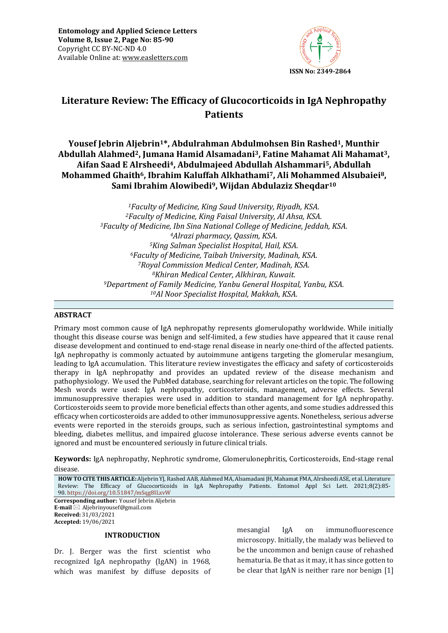

# **Literature Review: The Efficacy of Glucocorticoids in IgA Nephropathy Patients**

# **Yousef Jebrin Aljebrin1\*, Abdulrahman Abdulmohsen Bin Rashed1, Munthir Abdullah Alahmed2, Jumana Hamid Alsamadani3, Fatine Mahamat Ali Mahamat3, Aifan Saad E Alrsheedi4, Abdulmajeed Abdullah Alshammari5, Abdullah Mohammed Ghaith6, Ibrahim Kaluffah Alkhathami7, Ali Mohammed Alsubaiei8, Sami Ibrahim Alowibedi9, Wijdan Abdulaziz Sheqdar<sup>10</sup>**

*Faculty of Medicine, King Saud University, Riyadh, KSA. Faculty of Medicine, King Faisal University, Al Ahsa, KSA. Faculty of Medicine, Ibn Sina National College of Medicine, Jeddah, KSA. Alrazi pharmacy, Qassim, KSA. King Salman Specialist Hospital, Hail, KSA. Faculty of Medicine, Taibah University, Madinah, KSA. Royal Commission Medical Center, Madinah, KSA. Khiran Medical Center, Alkhiran, Kuwait. Department of Family Medicine, Yanbu General Hospital, Yanbu, KSA. Al Noor Specialist Hospital, Makkah, KSA.*

#### **ABSTRACT**

Primary most common cause of IgA nephropathy represents glomerulopathy worldwide. While initially thought this disease course was benign and self-limited, a few studies have appeared that it cause renal disease development and continued to end-stage renal disease in nearly one-third of the affected patients. IgA nephropathy is commonly actuated by autoimmune antigens targeting the glomerular mesangium, leading to IgA accumulation. This literature review investigates the efficacy and safety of corticosteroids therapy in IgA nephropathy and provides an updated review of the disease mechanism and pathophysiology. We used the PubMed database, searching for relevant articles on the topic. The following Mesh words were used: IgA nephropathy, corticosteroids, management, adverse effects. Several immunosuppressive therapies were used in addition to standard management for IgA nephropathy. Corticosteroids seem to provide more beneficial effects than other agents, and some studies addressed this efficacy when corticosteroids are added to other immunosuppressive agents. Nonetheless, serious adverse events were reported in the steroids groups, such as serious infection, gastrointestinal symptoms and bleeding, diabetes mellitus, and impaired glucose intolerance. These serious adverse events cannot be ignored and must be encountered seriously in future clinical trials.

**Keywords:** IgA nephropathy, Nephrotic syndrome, Glomerulonephritis, Corticosteroids, End-stage renal disease*.*

**HOW TO CITE THIS ARTICLE:** Aljebrin YJ, Rashed AAB, Alahmed MA, Alsamadani JH, Mahamat FMA, Alrsheedi ASE, et al. Literature Review: The Efficacy of Glucocorticoids in IgA Nephropathy Patients. Entomol Appl Sci Lett. 2021;8(2):85- 90. <https://doi.org/10.51847/mSqg8ILxvW>

**Corresponding author:** Yousef Jebrin Aljebrin **E-mail** ⊠ Aljebrinyousef@gmail.com **Received:** 31/03/2021 **Accepted:** 19/06/2021

#### **INTRODUCTION**

Dr. J. Berger was the first scientist who recognized IgA nephropathy (IgAN) in 1968, which was manifest by diffuse deposits of mesangial IgA on immunofluorescence microscopy. Initially, the malady was believed to be the uncommon and benign cause of rehashed hematuria. Be that as it may, it has since gotten to be clear that IgAN is neither rare nor benign [1]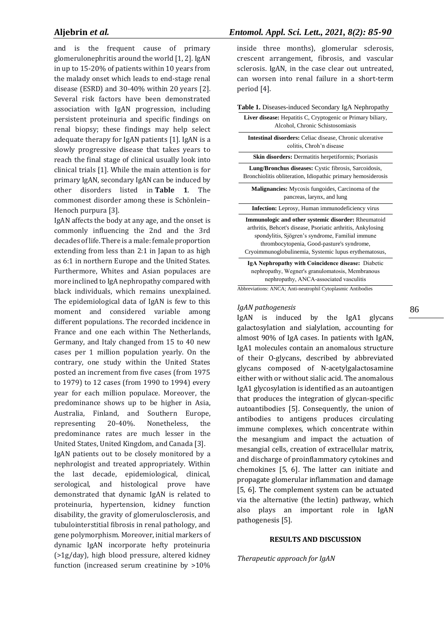and is the frequent cause of primary glomerulonephritis around the world [1, 2]. IgAN in up to 15-20% of patients within 10 years from the malady onset which leads to end-stage renal disease (ESRD) and 30-40% within 20 years [2]. Several risk factors have been demonstrated association with IgAN progression, including persistent proteinuria and specific findings on renal biopsy; these findings may help select adequate therapy for IgAN patients [1]. IgAN is a slowly progressive disease that takes years to reach the final stage of clinical usually look into clinical trials [1]. While the main attention is for primary IgAN, secondary IgAN can be induced by other disorders listed in **Table 1**. The commonest disorder among these is Schönlein– Henoch purpura [3].

IgAN affects the body at any age, and the onset is commonly influencing the 2nd and the 3rd decades of life. There is a male: female proportion extending from less than 2:1 in Japan to as high as 6:1 in northern Europe and the United States. Furthermore, Whites and Asian populaces are more inclined to IgA nephropathy compared with black individuals, which remains unexplained. The epidemiological data of IgAN is few to this moment and considered variable among different populations. The recorded incidence in France and one each within The Netherlands, Germany, and Italy changed from 15 to 40 new cases per 1 million population yearly. On the contrary, one study within the United States posted an increment from five cases (from 1975 to 1979) to 12 cases (from 1990 to 1994) every year for each million populace. Moreover, the predominance shows up to be higher in Asia, Australia, Finland, and Southern Europe, representing 20-40%. Nonetheless, the predominance rates are much lesser in the United States, United Kingdom, and Canada [3].

IgAN patients out to be closely monitored by a nephrologist and treated appropriately. Within the last decade, epidemiological, clinical, serological, and histological prove have demonstrated that dynamic IgAN is related to proteinuria, hypertension, kidney function disability, the gravity of glomerulosclerosis, and tubulointerstitial fibrosis in renal pathology, and gene polymorphism. Moreover, initial markers of dynamic IgAN incorporate hefty proteinuria (>1g/day), high blood pressure, altered kidney function (increased serum creatinine by >10%

### **Aljebrin** *et al.**Entomol. Appl. Sci. Lett., 2021, 8(2): 85-90*

inside three months), glomerular sclerosis, crescent arrangement, fibrosis, and vascular sclerosis. IgAN, in the case clear out untreated, can worsen into renal failure in a short-term period [4].

# **Table 1.** Diseases-induced Secondary IgA Nephropathy

| Liver disease: Hepatitis C, Cryptogenic or Primary biliary,<br>Alcohol, Chronic Schistosomiasis                                                                                                                                                                                       |
|---------------------------------------------------------------------------------------------------------------------------------------------------------------------------------------------------------------------------------------------------------------------------------------|
| <b>Intestinal disorders:</b> Celiac disease, Chronic ulcerative<br>colitis, Chroh'n disease                                                                                                                                                                                           |
| <b>Skin disorders:</b> Dermatitis herpetiformis; Psoriasis                                                                                                                                                                                                                            |
| <b>Lung/Bronchus diseases:</b> Cystic fibrosis, Sarcoidosis,<br>Bronchiolitis obliteration, Idiopathic primary hemosiderosis                                                                                                                                                          |
| <b>Malignancies:</b> Mycosis fungoides, Carcinoma of the<br>pancreas, larynx, and lung                                                                                                                                                                                                |
| <b>Infection:</b> Leprosy, Human immunodeficiency virus                                                                                                                                                                                                                               |
| <b>Immunologic and other systemic disorder:</b> Rheumatoid<br>arthritis, Behcet's disease, Psoriatic arthritis, Ankylosing<br>spondylitis, Sjögren's syndrome, Familial immune<br>thrombocytopenia, Good-pasture's syndrome,<br>Cryoimmunoglobulinemia, Systemic lupus erythematosus, |
| IgA Nephropathy with Coincidence disease: Diabetic<br>nephropathy, Wegner's granulomatosis, Membranous<br>nephropathy, ANCA-associated vasculitis                                                                                                                                     |

Abbreviations: ANCA; Anti-neutrophil Cytoplasmic Antibodies

#### *IgAN pathogenesis*

IgAN is induced by the IgA1 glycans galactosylation and sialylation, accounting for almost 90% of IgA cases. In patients with IgAN, IgA1 molecules contain an anomalous structure of their O-glycans, described by abbreviated glycans composed of N-acetylgalactosamine either with or without sialic acid. The anomalous IgA1 glycosylation is identified as an autoantigen that produces the integration of glycan-specific autoantibodies [5]. Consequently, the union of antibodies to antigens produces circulating immune complexes, which concentrate within the mesangium and impact the actuation of mesangial cells, creation of extracellular matrix, and discharge of proinflammatory cytokines and chemokines [5, 6]. The latter can initiate and propagate glomerular inflammation and damage [5, 6]. The complement system can be actuated via the alternative (the lectin) pathway, which also plays an important role in IgAN pathogenesis [5].

#### **RESULTS AND DISCUSSION**

*Therapeutic approach for IgAN*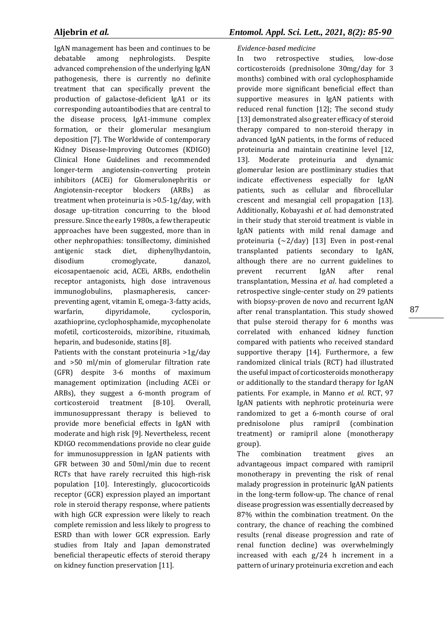IgAN management has been and continues to be debatable among nephrologists. Despite advanced comprehension of the underlying IgAN pathogenesis, there is currently no definite treatment that can specifically prevent the production of galactose-deficient IgA1 or its corresponding autoantibodies that are central to the disease process, IgA1-immune complex formation, or their glomerular mesangium deposition [7]. The Worldwide of contemporary Kidney Disease-Improving Outcomes (KDIGO) Clinical Hone Guidelines and recommended longer-term angiotensin-converting protein inhibitors (ACEi) for Glomerulonephritis or Angiotensin-receptor blockers (ARBs) as treatment when proteinuria is >0.5-1g/day, with dosage up-titration concurring to the blood pressure. Since the early 1980s, a few therapeutic approaches have been suggested, more than in other nephropathies: tonsillectomy, diminished antigenic stack diet, diphenylhydantoin, disodium cromoglycate, danazol, eicosapentaenoic acid, ACEi, ARBs, endothelin receptor antagonists, high dose intravenous immunoglobulins, plasmapheresis, cancerpreventing agent, vitamin E, omega-3-fatty acids, warfarin, dipyridamole, cyclosporin, azathioprine, cyclophosphamide, mycophenolate mofetil, corticosteroids, mizoribine, rituximab, heparin, and budesonide, statins [8].

Patients with the constant proteinuria >1g/day and >50 ml/min of glomerular filtration rate (GFR) despite 3-6 months of maximum management optimization (including ACEi or ARBs), they suggest a 6-month program of corticosteroid treatment [8-10]. Overall, immunosuppressant therapy is believed to provide more beneficial effects in IgAN with moderate and high risk [9]. Nevertheless, recent KDIGO recommendations provide no clear guide for immunosuppression in IgAN patients with GFR between 30 and 50ml/min due to recent RCTs that have rarely recruited this high-risk population [10]. Interestingly, glucocorticoids receptor (GCR) expression played an important role in steroid therapy response, where patients with high GCR expression were likely to reach complete remission and less likely to progress to ESRD than with lower GCR expression. Early studies from Italy and Japan demonstrated beneficial therapeutic effects of steroid therapy on kidney function preservation [11].

### *Evidence-based medicine*

In two retrospective studies, low-dose corticosteroids (prednisolone 30mg/day for 3 months) combined with oral cyclophosphamide provide more significant beneficial effect than supportive measures in IgAN patients with reduced renal function [12]; The second study [13] demonstrated also greater efficacy of steroid therapy compared to non-steroid therapy in advanced IgAN patients, in the forms of reduced proteinuria and maintain creatinine level [12, 13]. Moderate proteinuria and dynamic glomerular lesion are postliminary studies that indicate effectiveness especially for IgAN patients, such as cellular and fibrocellular crescent and mesangial cell propagation [13]. Additionally, Kobayashi *et al*. had demonstrated in their study that steroid treatment is viable in IgAN patients with mild renal damage and proteinuria (~2/day) [13] Even in post-renal transplanted patients secondary to IgAN, although there are no current guidelines to prevent recurrent IgAN after renal transplantation, Messina *et al*. had completed a retrospective single-center study on 29 patients with biopsy-proven de novo and recurrent IgAN after renal transplantation. This study showed that pulse steroid therapy for 6 months was correlated with enhanced kidney function compared with patients who received standard supportive therapy [14]. Furthermore, a few randomized clinical trials (RCT) had illustrated the useful impact of corticosteroids monotherapy or additionally to the standard therapy for IgAN patients. For example, in Manno *et al*. RCT, 97 IgAN patients with nephrotic proteinuria were randomized to get a 6-month course of oral prednisolone plus ramipril (combination treatment) or ramipril alone (monotherapy group).

The combination treatment gives an advantageous impact compared with ramipril monotherapy in preventing the risk of renal malady progression in proteinuric IgAN patients in the long-term follow-up. The chance of renal disease progression was essentially decreased by 87% within the combination treatment. On the contrary, the chance of reaching the combined results (renal disease progression and rate of renal function decline) was overwhelmingly increased with each g/24 h increment in a pattern of urinary proteinuria excretion and each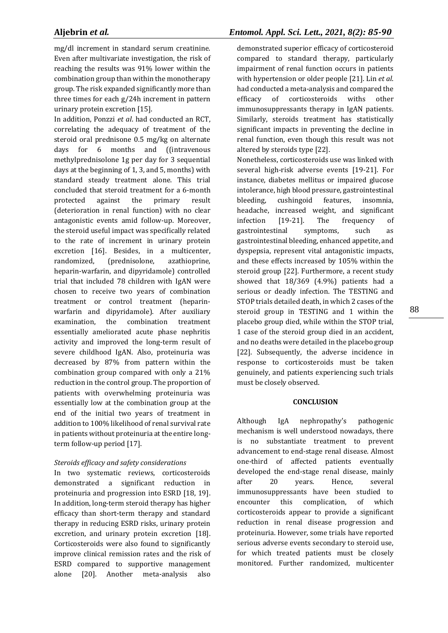mg/dl increment in standard serum creatinine. Even after multivariate investigation, the risk of reaching the results was 91% lower within the combination group than within the monotherapy group. The risk expanded significantly more than three times for each g/24h increment in pattern urinary protein excretion [15].

In addition, Ponzzi *et al*. had conducted an RCT, correlating the adequacy of treatment of the steroid oral prednisone 0.5 mg/kg on alternate days for 6 months and ((intravenous methylprednisolone 1g per day for 3 sequential days at the beginning of 1, 3, and 5, months) with standard steady treatment alone. This trial concluded that steroid treatment for a 6-month protected against the primary result (deterioration in renal function) with no clear antagonistic events amid follow-up. Moreover, the steroid useful impact was specifically related to the rate of increment in urinary protein excretion [16]. Besides, in a multicenter, randomized, (prednisolone, azathioprine, heparin-warfarin, and dipyridamole) controlled trial that included 78 children with IgAN were chosen to receive two years of combination treatment or control treatment (heparinwarfarin and dipyridamole). After auxiliary examination, the combination treatment essentially ameliorated acute phase nephritis activity and improved the long-term result of severe childhood IgAN. Also, proteinuria was decreased by 87% from pattern within the combination group compared with only a 21% reduction in the control group. The proportion of patients with overwhelming proteinuria was essentially low at the combination group at the end of the initial two years of treatment in addition to 100% likelihood of renal survival rate in patients without proteinuria at the entire longterm follow-up period [17].

#### *Steroids efficacy and safety considerations*

In two systematic reviews, corticosteroids demonstrated a significant reduction in proteinuria and progression into ESRD [18, 19]. In addition, long-term steroid therapy has higher efficacy than short-term therapy and standard therapy in reducing ESRD risks, urinary protein excretion, and urinary protein excretion [18]. Corticosteroids were also found to significantly improve clinical remission rates and the risk of ESRD compared to supportive management alone [20]. Another meta-analysis also

# **Aljebrin** *et al.**Entomol. Appl. Sci. Lett., 2021, 8(2): 85-90*

demonstrated superior efficacy of corticosteroid compared to standard therapy, particularly impairment of renal function occurs in patients with hypertension or older people [21]. Lin *et al*. had conducted a meta-analysis and compared the efficacy of corticosteroids withs other immunosuppressants therapy in IgAN patients. Similarly, steroids treatment has statistically significant impacts in preventing the decline in renal function, even though this result was not altered by steroids type [22].

Nonetheless, corticosteroids use was linked with several high-risk adverse events [19-21]. For instance, diabetes mellitus or impaired glucose intolerance, high blood pressure, gastrointestinal bleeding, cushingoid features, insomnia, headache, increased weight, and significant infection [19-21]. The frequency of gastrointestinal symptoms, such as gastrointestinal bleeding, enhanced appetite, and dyspepsia, represent vital antagonistic impacts, and these effects increased by 105% within the steroid group [22]. Furthermore, a recent study showed that 18/369 (4.9%) patients had a serious or deadly infection. The TESTING and STOP trials detailed death, in which 2 cases of the steroid group in TESTING and 1 within the placebo group died, while within the STOP trial, 1 case of the steroid group died in an accident, and no deaths were detailed in the placebo group [22]. Subsequently, the adverse incidence in response to corticosteroids must be taken genuinely, and patients experiencing such trials must be closely observed.

#### **CONCLUSION**

Although IgA nephropathy's pathogenic mechanism is well understood nowadays, there is no substantiate treatment to prevent advancement to end-stage renal disease. Almost one-third of affected patients eventually developed the end-stage renal disease, mainly after 20 years. Hence, several immunosuppressants have been studied to encounter this complication, of which corticosteroids appear to provide a significant reduction in renal disease progression and proteinuria. However, some trials have reported serious adverse events secondary to steroid use, for which treated patients must be closely monitored. Further randomized, multicenter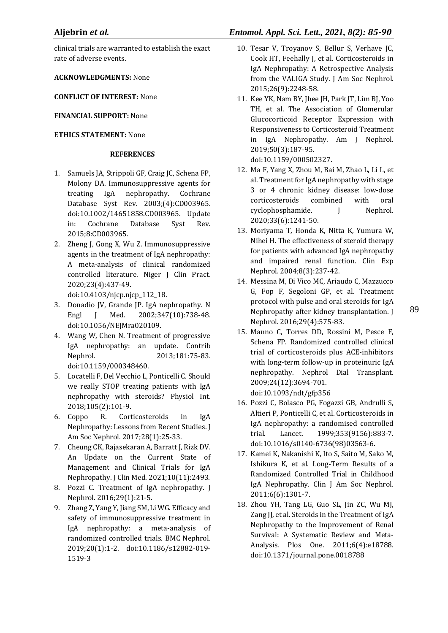clinical trials are warranted to establish the exact rate of adverse events.

**ACKNOWLEDGMENTS:** None

**CONFLICT OF INTEREST:** None

### **FINANCIAL SUPPORT:** None

### **ETHICS STATEMENT:** None

#### **REFERENCES**

- 1. Samuels JA, Strippoli GF, Craig JC, Schena FP, Molony DA. Immunosuppressive agents for treating IgA nephropathy. Cochrane Database Syst Rev. 2003;(4):CD003965. doi:10.1002/14651858.CD003965. Update in: Cochrane Database Syst Rev. 2015;8:CD003965.
- 2. Zheng J, Gong X, Wu Z. Immunosuppressive agents in the treatment of IgA nephropathy: A meta-analysis of clinical randomized controlled literature. Niger J Clin Pract. 2020;23(4):437-49.

doi:10.4103/njcp.njcp\_112\_18.

- 3. Donadio JV, Grande JP. IgA nephropathy. N Engl J Med. 2002;347(10):738-48. doi:10.1056/NEJMra020109.
- 4. Wang W, Chen N. Treatment of progressive IgA nephropathy: an update. Contrib Nephrol. 2013;181:75-83. doi:10.1159/000348460.
- 5. Locatelli F, Del Vecchio L, Ponticelli C. Should we really STOP treating patients with IgA nephropathy with steroids? Physiol Int. 2018;105(2):101-9.
- 6. Coppo R. Corticosteroids in IgA Nephropathy: Lessons from Recent Studies. J Am Soc Nephrol. 2017;28(1):25-33.
- 7. Cheung CK, Rajasekaran A, Barratt J, Rizk DV. An Update on the Current State of Management and Clinical Trials for IgA Nephropathy. J Clin Med. 2021;10(11):2493.
- 8. Pozzi C. Treatment of IgA nephropathy. J Nephrol. 2016;29(1):21-5.
- 9. Zhang Z, Yang Y, Jiang SM, Li WG. Efficacy and safety of immunosuppressive treatment in IgA nephropathy: a meta-analysis of randomized controlled trials. BMC Nephrol. 2019;20(1):1-2. doi:10.1186/s12882-019- 1519-3

# **Aljebrin** *et al.**Entomol. Appl. Sci. Lett., 2021, 8(2): 85-90*

- 10. Tesar V, Troyanov S, Bellur S, Verhave JC, Cook HT, Feehally J, et al. Corticosteroids in IgA Nephropathy: A Retrospective Analysis from the VALIGA Study. J Am Soc Nephrol. 2015;26(9):2248-58.
- 11. Kee YK, Nam BY, Jhee JH, Park JT, Lim BJ, Yoo TH, et al. The Association of Glomerular Glucocorticoid Receptor Expression with Responsiveness to Corticosteroid Treatment in IgA Nephropathy. Am J Nephrol. 2019;50(3):187-95. doi:10.1159/000502327.
- 12. Ma F, Yang X, Zhou M, Bai M, Zhao L, Li L, et al. Treatment for IgA nephropathy with stage 3 or 4 chronic kidney disease: low-dose corticosteroids combined with oral cyclophosphamide. I Nephrol. 2020;33(6):1241-50.
- 13. Moriyama T, Honda K, Nitta K, Yumura W, Nihei H. The effectiveness of steroid therapy for patients with advanced IgA nephropathy and impaired renal function. Clin Exp Nephrol. 2004;8(3):237-42.
- 14. Messina M, Di Vico MC, Ariaudo C, Mazzucco G, Fop F, Segoloni GP, et al. Treatment protocol with pulse and oral steroids for IgA Nephropathy after kidney transplantation. J Nephrol. 2016;29(4):575-83.
- 15. Manno C, Torres DD, Rossini M, Pesce F, Schena FP. Randomized controlled clinical trial of corticosteroids plus ACE-inhibitors with long-term follow-up in proteinuric IgA nephropathy. Nephrol Dial Transplant. 2009;24(12):3694-701. doi:10.1093/ndt/gfp356
- 16. Pozzi C, Bolasco PG, Fogazzi GB, Andrulli S, Altieri P, Ponticelli C, et al. Corticosteroids in IgA nephropathy: a randomised controlled trial. Lancet. 1999;353(9156):883-7. doi:10.1016/s0140-6736(98)03563-6.
- 17. Kamei K, Nakanishi K, Ito S, Saito M, Sako M, Ishikura K, et al. Long-Term Results of a Randomized Controlled Trial in Childhood IgA Nephropathy. Clin J Am Soc Nephrol. 2011;6(6):1301-7.
- 18. Zhou YH, Tang LG, Guo SL, Jin ZC, Wu MJ, Zang II, et al. Steroids in the Treatment of IgA Nephropathy to the Improvement of Renal Survival: A Systematic Review and Meta-Analysis. Plos One. 2011;6(4):e18788. doi:10.1371/journal.pone.0018788